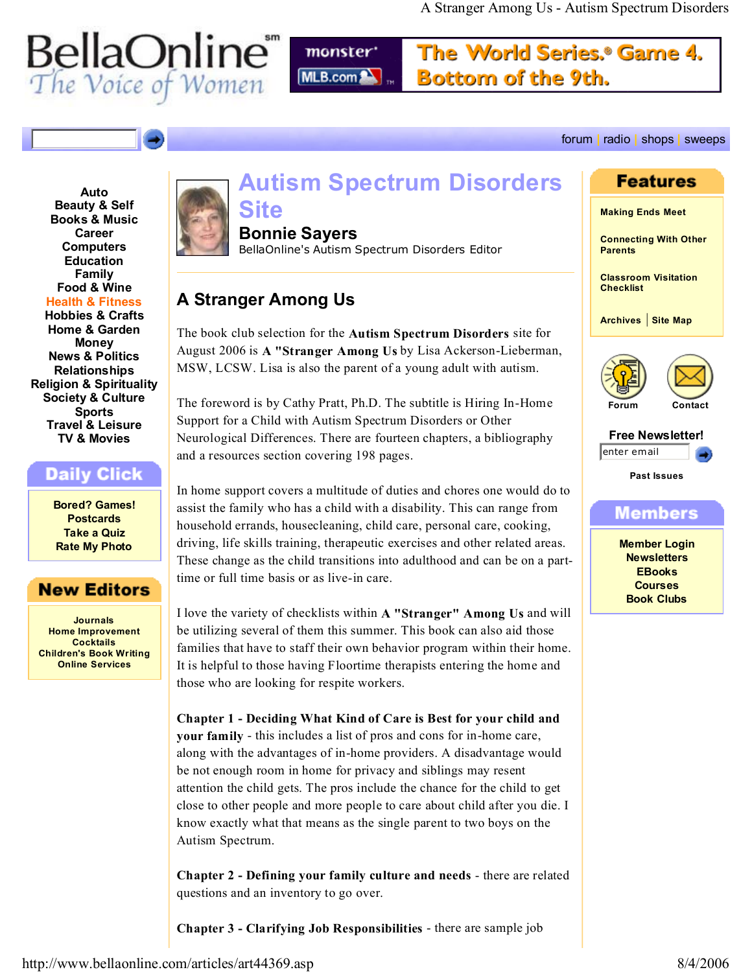# **BellaOnline**<br>The Voice of Women

monster<sup>\*</sup> MLB.com

The World Series.® Game 4. Bottom of the 9th.

forum **|** radio **|** shops **|** sweeps

#### **Beauty & Self Books & Music Career Computers Education Family Food & Wine Health & Fitness Hobbies & Crafts Home & Garden Money News & Politics Relationships Religion & Spirituality Society & Culture Sports Travel & Leisure TV & Movies**

**Auto**

## Daily Click

**Bored? Games! Postcards Take a Quiz Rate My Photo**

## **New Editors**

**Journals Home Improvement Cocktails Children's Book Writing Online Services**



# **Autism Spectrum Disorders**

# **Site**

**Bonnie Sayers**

BellaOnline's Autism Spectrum Disorders Editor

# **A Stranger Among Us**

The book club selection for the **Autism Spectrum Disorders** site for August 2006 is **A "Stranger Among Us** by Lisa Ackerson-Lieberman, MSW, LCSW. Lisa is also the parent of a young adult with autism.

The foreword is by Cathy Pratt, Ph.D. The subtitle is Hiring In-Home Support for a Child with Autism Spectrum Disorders or Other Neurological Differences. There are fourteen chapters, a bibliography and a resources section covering 198 pages.

In home support covers a multitude of duties and chores one would do to assist the family who has a child with a disability. This can range from household errands, housecleaning, child care, personal care, cooking, driving, life skills training, therapeutic exercises and other related areas. These change as the child transitions into adulthood and can be on a parttime or full time basis or as live-in care.

I love the variety of checklists within **A "Stranger" Among Us** and will be utilizing several of them this summer. This book can also aid those families that have to staff their own behavior program within their home. It is helpful to those having Floortime therapists entering the home and those who are looking for respite workers.

**Chapter 1 - Deciding What Kind of Care is Best for your child and your family** - this includes a list of pros and cons for in-home care, along with the advantages of in-home providers. A disadvantage would be not enough room in home for privacy and siblings may resent attention the child gets. The pros include the chance for the child to get close to other people and more people to care about child after you die. I know exactly what that means as the single parent to two boys on the Autism Spectrum.

**Chapter 2 - Defining your family culture and needs** - there are related questions and an inventory to go over.

**Chapter 3 - Clarifying Job Responsibilities** - there are sample job

## **Features**

**Making Ends Meet**

**Connecting With Other Parents**

**Classroom Visitation Checklist**

**Archives** | **Site Map**





**Free Newsletter!**  enter email

**Past Issues**

Members

**Member Login Newsletters EBooks Courses Book Clubs**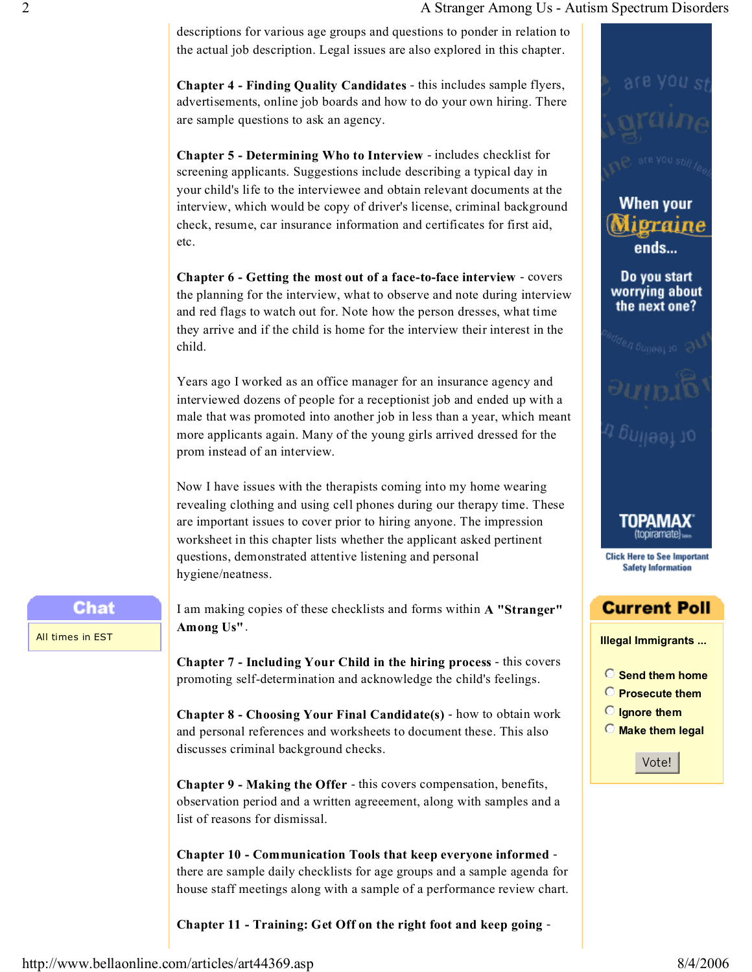#### 2 **A Stranger Among Us - Autism Spectrum Disorders**

descriptions for various age groups and questions to ponder in relation to the actual job description. Legal issues are also explored in this chapter.

**Chapter 4 - Finding Quality Candidates** - this includes sample flyers, advertisements, online job boards and how to do your own hiring. There are sample questions to ask an agency.

**Chapter 5 - Determining Who to Interview** - includes checklist for screening applicants. Suggestions include describing a typical day in your child's life to the interviewee and obtain relevant documents at the interview, which would be copy of driver's license, criminal background check, resume, car insurance information and certificates for first aid, etc.

**Chapter 6 - Getting the most out of a face-to-face interview** - covers the planning for the interview, what to observe and note during interview and red flags to watch out for. Note how the person dresses, what time they arrive and if the child is home for the interview their interest in the child.

Years ago I worked as an office manager for an insurance agency and interviewed dozens of people for a receptionist job and ended up with a male that was promoted into another job in less than a year, which meant more applicants again. Many of the young girls arrived dressed for the prom instead of an interview.

Now I have issues with the therapists coming into my home wearing revealing clothing and using cell phones during our therapy time. These are important issues to cover prior to hiring anyone. The impression worksheet in this chapter lists whether the applicant asked pertinent questions, demonstrated attentive listening and personal hygiene/neatness.

### Chat

All times in EST

I am making copies of these checklists and forms within **A "Stranger" Among Us"**.

**Chapter 7 - Including Your Child in the hiring process** - this covers promoting self-determination and acknowledge the child's feelings.

**Chapter 8 - Choosing Your Final Candidate(s)** - how to obtain work and personal references and worksheets to document these. This also discusses criminal background checks.

**Chapter 9 - Making the Offer** - this covers compensation, benefits, observation period and a written agreeement, along with samples and a list of reasons for dismissal.

**Chapter 10 - Communication Tools that keep everyone informed** there are sample daily checklists for age groups and a sample agenda for house staff meetings along with a sample of a performance review chart.

**Chapter 11 - Training: Get Off on the right foot and keep going** -



**Illegal Immigrants ...** 

**Current Poll** 

'OPAMAX

**Click Here to See Important Safety Information** 

**When your** 

ends…

Do you start worrying about the next one?

praine

 $\odot$  Send them home **Prosecute them D** Ignore them  $\odot$  Make them legal

Vote!